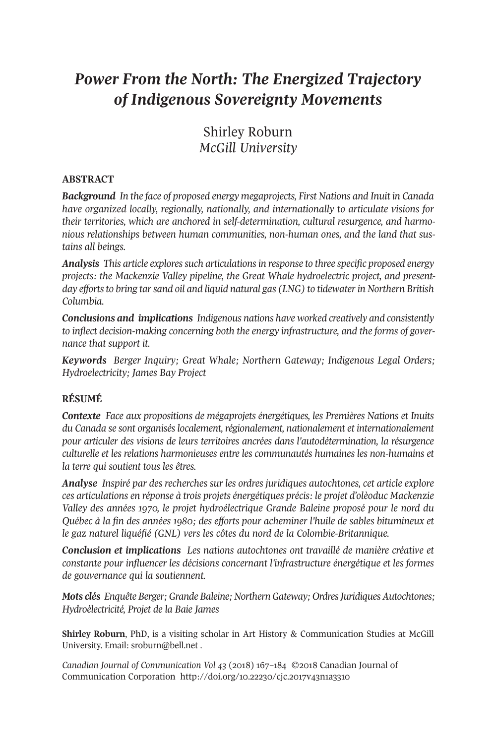# *Power From the North: The Energized Trajectory of Indigenous Sovereignty Movements*

## Shirley Roburn *McGill University*

## **ABSTRACT**

*Background In the face of proposed energy megaprojects, First Nations and Inuit in Canada have organized locally, regionally, nationally, and internationally to articulate visions for their territories, which are anchored in self-determination, cultural resurgence, and harmonious relationships between human communities, non-human ones, and the land that sustains all beings.*

*Analysis This article exploressuch articulationsin response to three specific proposed energy projects: the Mackenzie Valley pipeline, the Great Whale hydroelectric project, and presentday effortsto bring tarsand oil and liquid natural gas (LNG) to tidewaterin Northern British Columbia.*

*Conclusions and implications Indigenous nations have worked creatively and consistently to inflect decision-making concerning both the energy infrastructure, and the forms of governance that support it.*

*Keywords Berger Inquiry; Great Whale; Northern Gateway; Indigenous Legal Orders; Hydroelectricity; James Bay Project*

## **RÉSUMÉ**

*Contexte Face aux propositions de mégaprojets énergétiques, les Premières Nations et Inuits du Canada se sont organiséslocalement, régionalement, nationalement et internationalement pour articuler des visions de leurs territoires ancrées dans l'autodétermination, la résurgence culturelle et les relations harmonieuses entre les communautés humaines les non-humains et la terre qui soutient tous les êtres.*

*Analyse Inspiré par des recherches sur les ordres juridiques autochtones, cet article explore ces articulations en réponse à trois projets énergétiques précis: le projet d'olèoduc Mackenzie Valley des années 1970, le projet hydroélectrique Grande Baleine proposé pour le nord du Québec à la fin des années 1980; des efforts pour acheminer l'huile de sables bitumineux et le gaz naturel liquéfié (GNL) vers les côtes du nord de la Colombie-Britannique.*

*Conclusion et implications Les nations autochtones ont travaillé de manière créative et constante pour influencer les décisions concernant l'infrastructure énergétique et les formes de gouvernance qui la soutiennent.*

*Mots clés Enquête Berger;Grande Baleine;NorthernGateway; OrdresJuridiquesAutochtones; Hydroèlectricité, Projet de la Baie James*

**Shirley Roburn**, PhD, is a visiting scholar in Art History & Communication Studies at McGill University. Email: [sroburn@bell.net](mailto:sroburn@bell.net) .

*Canadian Journal of [Communication](http://www.cjc-online.ca) Vol 43* (2018) 167–184 ©2018 Canadian Journal of Communication Corporation <http://doi.org/10.22230/cjc.2017v43n1a3310>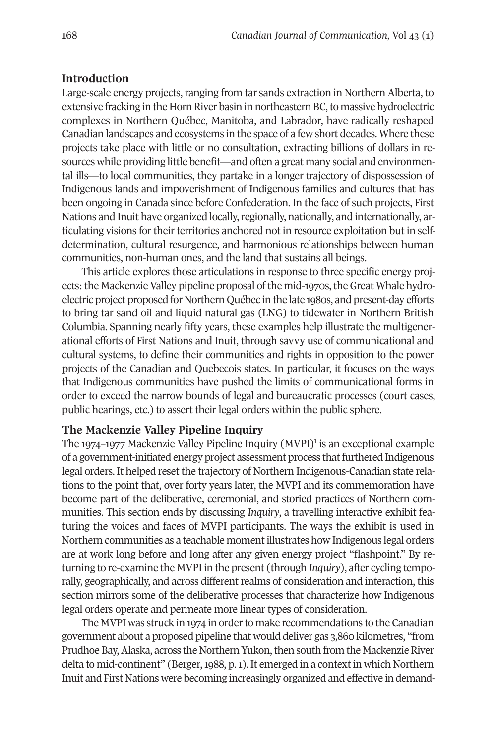#### **Introduction**

Large-scale energy projects, ranging from tar sands extraction in Northern Alberta, to extensive fracking in the Horn River basin in northeastern BC, to massive hydroelectric complexes in Northern Québec, Manitoba, and Labrador, have radically reshaped Canadian landscapes and ecosystems in the space of a few short decades. Where these projects take place with little or no consultation, extracting billions of dollars in resources while providing little benefit—and often a great many social and environmental ills—to local communities, they partake in a longer trajectory of dispossession of Indigenous lands and impoverishment of Indigenous families and cultures that has been ongoing in Canada since before Confederation. In the face of such projects, First Nations and Inuit have organized locally, regionally, nationally, and internationally, articulating visions for their territories anchored not in resource exploitation but in selfdetermination, cultural resurgence, and harmonious relationships between human communities, non-human ones, and the land that sustains all beings.

This article explores those articulations in response to three specific energy projects: the Mackenzie Valley pipeline proposal of the mid-1970s, the Great Whale hydroelectric project proposed for Northern Québec in the late 1980s, and present-day efforts to bring tar sand oil and liquid natural gas (LNG) to tidewater in Northern British Columbia. Spanning nearly fifty years, these examples help illustrate the multigenerational efforts of First Nations and Inuit, through savvy use of communicational and cultural systems, to define their communities and rights in opposition to the power projects of the Canadian and Quebecois states. In particular, it focuses on the ways that Indigenous communities have pushed the limits of communicational forms in order to exceed the narrow bounds of legal and bureaucratic processes (court cases, public hearings, etc.) to assert their legal orders within the public sphere.

### **The Mackenzie Valley Pipeline Inquiry**

The 1974–1977 Mackenzie Valley Pipeline Inquiry (MVPI)<sup>1</sup> is an exceptional example of a government-initiated energy project assessment process that furthered Indigenous legal orders. It helped reset the trajectory of Northern Indigenous-Canadian state relations to the point that, over forty years later, the MVPI and its commemoration have become part of the deliberative, ceremonial, and storied practices of Northern communities. This section ends by discussing *Inquiry*, a travelling interactive exhibit featuring the voices and faces of MVPI participants. The ways the exhibit is used in Northern communities as a teachable momentillustrates how Indigenous legal orders are at work long before and long after any given energy project "flashpoint." By returning to re-examine the MVPIin the present (through *Inquiry*), after cycling temporally, geographically, and across different realms of consideration and interaction, this section mirrors some of the deliberative processes that characterize how Indigenous legal orders operate and permeate more linear types of consideration.

The MVPI was struck in 1974 in order to make recommendations to the Canadian government about a proposed pipeline that would deliver gas 3,860 kilometres, "from Prudhoe Bay, Alaska, across the Northern Yukon, then south from the Mackenzie River delta to mid-continent" (Berger, 1988, p. 1). It emerged in a context in which Northern Inuit and First Nations were becoming increasingly organized and effective in demand-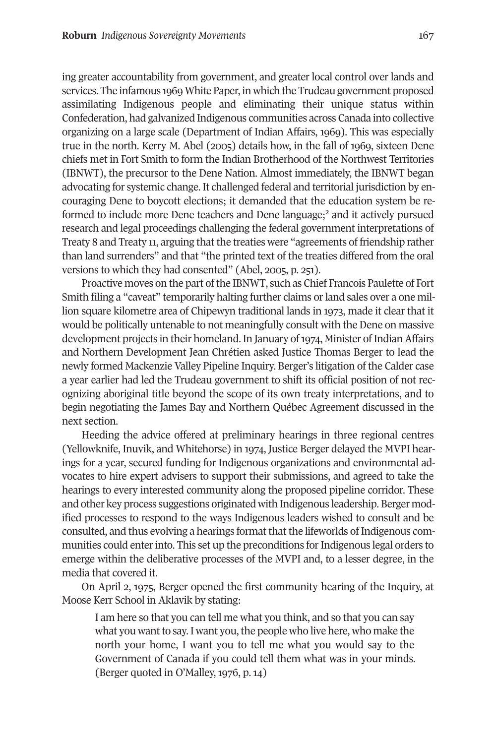ing greater accountability from government, and greater local control over lands and services. The infamous 1969 White Paper, in which the Trudeau government proposed assimilating Indigenous people and eliminating their unique status within Confederation, had galvanized Indigenous communities across Canada into collective organizing on a large scale (Department of Indian Affairs, 1969). This was especially true in the north. Kerry M. Abel (2005) details how, in the fall of 1969, sixteen Dene chiefs met in Fort Smith to form the Indian Brotherhood of the Northwest Territories (IBNWT), the precursor to the Dene Nation. Almost immediately, the IBNWT began advocating for systemic change. It challenged federal and territorial jurisdiction by encouraging Dene to boycott elections; it demanded that the education system be reformed to include more Dene teachers and Dene language; <sup>2</sup> and it actively pursued research and legal proceedings challenging the federal government interpretations of Treaty 8 and Treaty 11, arguing that the treaties were "agreements of friendship rather than land surrenders" and that "the printed text of the treaties differed from the oral versions to which they had consented" (Abel, 2005, p. 251).

Proactive moves on the part of the IBNWT, such as Chief Francois Paulette of Fort Smith filing a "caveat" temporarily halting further claims or land sales over a one million square kilometre area of Chipewyn traditional lands in 1973, made it clear that it would be politically untenable to not meaningfully consult with the Dene on massive development projects in their homeland. In January of 1974, Minister of Indian Affairs and Northern Development Jean Chrétien asked Justice Thomas Berger to lead the newly formed Mackenzie Valley Pipeline Inquiry. Berger's litigation of the Calder case a year earlier had led the Trudeau government to shift its official position of not recognizing aboriginal title beyond the scope of its own treaty interpretations, and to begin negotiating the James Bay and Northern Québec Agreement discussed in the next section.

Heeding the advice offered at preliminary hearings in three regional centres (Yellowknife, Inuvik, and Whitehorse) in 1974, Justice Berger delayed the MVPI hearings for a year, secured funding for Indigenous organizations and environmental advocates to hire expert advisers to support their submissions, and agreed to take the hearings to every interested community along the proposed pipeline corridor. These and other key process suggestions originated with Indigenous leadership. Berger modified processes to respond to the ways Indigenous leaders wished to consult and be consulted, and thus evolving a hearings format that the lifeworlds of Indigenous communities could enter into. This set up the preconditions for Indigenous legal orders to emerge within the deliberative processes of the MVPI and, to a lesser degree, in the media that covered it.

On April 2, 1975, Berger opened the first community hearing of the Inquiry, at Moose Kerr School in Aklavik by stating:

I am here so that you can tell me what you think, and so that you can say what you want to say. I want you, the people who live here, who make the north your home, I want you to tell me what you would say to the Government of Canada if you could tell them what was in your minds. (Berger quoted in O'Malley, 1976, p. 14)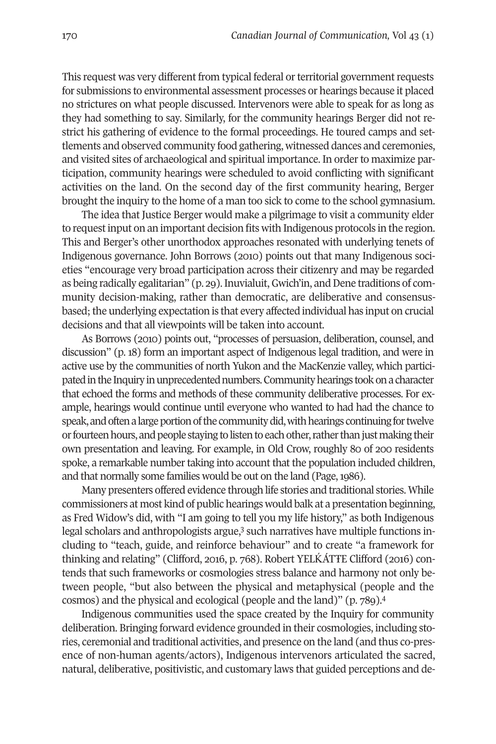This request was very different from typical federal or territorial government requests for submissions to environmental assessment processes or hearings because it placed no strictures on what people discussed. Intervenors were able to speak for as long as they had something to say. Similarly, for the community hearings Berger did not restrict his gathering of evidence to the formal proceedings. He toured camps and settlements and observed community food gathering, witnessed dances and ceremonies, and visited sites of archaeological and spiritual importance. In orderto maximize participation, community hearings were scheduled to avoid conflicting with significant activities on the land. On the second day of the first community hearing, Berger brought the inquiry to the home of a man too sick to come to the school gymnasium.

The idea that Justice Berger would make a pilgrimage to visit a community elder to request input on an important decision fits with Indigenous protocols in the region. This and Berger's other unorthodox approaches resonated with underlying tenets of Indigenous governance. John Borrows (2010) points out that many Indigenous societies "encourage very broad participation across their citizenry and may be regarded as being radically egalitarian" (p. 29). Inuvialuit, Gwich'in, and Dene traditions of community decision-making, rather than democratic, are deliberative and consensusbased; the underlying expectation is that every affected individual has input on crucial decisions and that all viewpoints will be taken into account.

As Borrows (2010) points out, "processes of persuasion, deliberation, counsel, and discussion" (p. 18) form an important aspect of Indigenous legal tradition, and were in active use by the communities of north Yukon and the MacKenzie valley, which participatedinthe Inquiry inunprecedentednumbers.Communityhearings tookona character that echoed the forms and methods of these community deliberative processes. For example, hearings would continue until everyone who wanted to had had the chance to speak, and often a large portion of the community did, with hearings continuing for twelve or fourteen hours, and people staying to listen to each other, rather than just making their own presentation and leaving. For example, in Old Crow, roughly 80 of 200 residents spoke, a remarkable number taking into account that the population included children, and that normally some families would be out on the land (Page, 1986).

Many presenters offered evidence through life stories and traditional stories. While commissioners at most kind of public hearings would balk at a presentation beginning, as Fred Widow's did, with "I am going to tell you my life history," as both Indigenous legal scholars and anthropologists argue, <sup>3</sup> such narratives have multiple functions including to "teach, guide, and reinforce behaviour" and to create "a framework for thinking and relating" (Clifford, 2016, p. 768). Robert YELḰÁTŦE Clifford (2016) contends that such frameworks or cosmologies stress balance and harmony not only between people, "but also between the physical and metaphysical (people and the cosmos) and the physical and ecological (people and the land)" (p. 789). 4

Indigenous communities used the space created by the Inquiry for community deliberation. Bringing forward evidence grounded in their cosmologies, including stories, ceremonial and traditional activities, and presence on the land (and thus co-presence of non-human agents/actors), Indigenous intervenors articulated the sacred, natural, deliberative, positivistic, and customary laws that guided perceptions and de-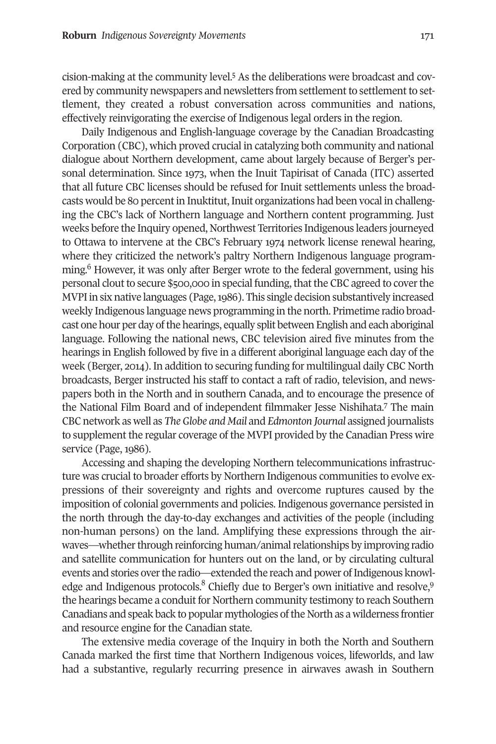cision-making at the community level. [5](#page-14-1) As the deliberations were broadcast and covered by community newspapers and newsletters from settlement to settlement to settlement, they created a robust conversation across communities and nations, effectively reinvigorating the exercise of Indigenous legal orders in the region.

Daily Indigenous and English-language coverage by the Canadian Broadcasting Corporation (CBC), which proved crucial in catalyzing both community and national dialogue about Northern development, came about largely because of Berger's personal determination. Since 1973, when the Inuit Tapirisat of Canada (ITC) asserted that all future CBC licenses should be refused for Inuit settlements unless the broadcasts would be 80 percent in Inuktitut, Inuit organizations had been vocal in challenging the CBC's lack of Northern language and Northern content programming. Just weeks before the Inquiry opened, Northwest Territories Indigenous leaders journeyed to Ottawa to intervene at the CBC's February 1974 network license renewal hearing, where they criticized the network's paltry Northern Indigenous language programming. [6](#page-14-2) However, it was only after Berger wrote to the federal government, using his personal clout to secure \$500,000 in special funding, that the CBC agreed to cover the MVPI in six native languages (Page, 1986). This single decision substantively increased weekly Indigenous language news programming in the north. Primetime radio broadcast one hour per day of the hearings, equally split between English and each aboriginal language. Following the national news, CBC television aired five minutes from the hearings in English followed by five in a different aboriginal language each day of the week (Berger, 2014). In addition to securing funding for multilingual daily CBC North broadcasts, Berger instructed his staff to contact a raft of radio, television, and newspapers both in the North and in southern Canada, and to encourage the presence of the National Film Board and of independent filmmaker Jesse Nishihata. <sup>7</sup> The main CBC network as well as *TheGlobe and Mail* and *Edmonton Journal* assigned journalists to supplement the regular coverage of the MVPI provided by the Canadian Press wire service (Page, 1986).

Accessing and shaping the developing Northern telecommunications infrastructure was crucial to broader efforts by Northern Indigenous communities to evolve expressions of their sovereignty and rights and overcome ruptures caused by the imposition of colonial governments and policies. Indigenous governance persisted in the north through the day-to-day exchanges and activities of the people (including non-human persons) on the land. Amplifying these expressions through the airwaves—whether through reinforcing human/animal relationships by improving radio and satellite communication for hunters out on the land, or by circulating cultural events and stories over the radio—extended the reach and power of Indigenous knowledge and Indigenous protocols.<sup>8</sup> Chiefly due to Berger's own initiative and resolve,<sup>9</sup> the hearings became a conduit for Northern community testimony to reach Southern Canadians and speak back to popular mythologies of the North as a wilderness frontier and resource engine for the Canadian state.

The extensive media coverage of the Inquiry in both the North and Southern Canada marked the first time that Northern Indigenous voices, lifeworlds, and law had a substantive, regularly recurring presence in airwaves awash in Southern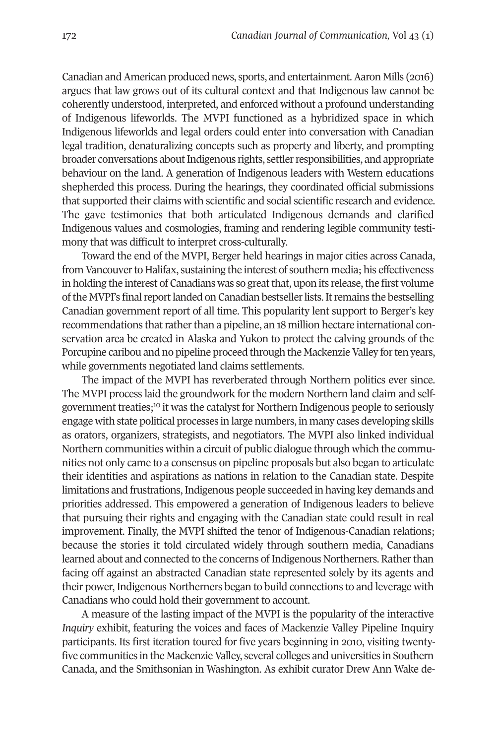Canadian andAmerican produced news, sports, and entertainment.Aaron Mills (2016) argues that law grows out of its cultural context and that Indigenous law cannot be coherently understood, interpreted, and enforced without a profound understanding of Indigenous lifeworlds. The MVPI functioned as a hybridized space in which Indigenous lifeworlds and legal orders could enter into conversation with Canadian legal tradition, denaturalizing concepts such as property and liberty, and prompting broader conversations about Indigenous rights, settler responsibilities, and appropriate behaviour on the land. A generation of Indigenous leaders with Western educations shepherded this process. During the hearings, they coordinated official submissions that supported their claims with scientific and social scientific research and evidence. The gave testimonies that both articulated Indigenous demands and clarified Indigenous values and cosmologies, framing and rendering legible community testimony that was difficult to interpret cross-culturally.

Toward the end of the MVPI, Berger held hearings in major cities across Canada, from Vancouver to Halifax, sustaining the interest of southern media; his effectiveness in holding the interest of Canadians was so great that, upon its release, the first volume of the MVPI's final report landed on Canadian bestseller lists. It remains the bestselling Canadian government report of all time. This popularity lent support to Berger's key recommendations that rather than a pipeline, an 18 million hectare international conservation area be created in Alaska and Yukon to protect the calving grounds of the Porcupine caribou and no pipeline proceed through the Mackenzie Valley for ten years, while governments negotiated land claims settlements.

The impact of the MVPI has reverberated through Northern politics ever since. The MVPI process laid the groundwork for the modern Northern land claim and selfgovernment treaties; <sup>10</sup> it was the catalyst for Northern Indigenous people to seriously engage with state political processes in large numbers, in many cases developing skills as orators, organizers, strategists, and negotiators. The MVPI also linked individual Northern communities within a circuit of public dialogue through which the communities not only came to a consensus on pipeline proposals but also began to articulate their identities and aspirations as nations in relation to the Canadian state. Despite limitations and frustrations, Indigenous people succeeded in having key demands and priorities addressed. This empowered a generation of Indigenous leaders to believe that pursuing their rights and engaging with the Canadian state could result in real improvement. Finally, the MVPI shifted the tenor of Indigenous-Canadian relations; because the stories it told circulated widely through southern media, Canadians learned about and connected to the concerns of Indigenous Northerners. Ratherthan facing off against an abstracted Canadian state represented solely by its agents and their power, Indigenous Northerners began to build connections to and leverage with Canadians who could hold their government to account.

A measure of the lasting impact of the MVPI is the popularity of the interactive *Inquiry* exhibit, featuring the voices and faces of Mackenzie Valley Pipeline Inquiry participants. Its first iteration toured for five years beginning in 2010, visiting twentyfive communities in the Mackenzie Valley, several colleges and universities in Southern Canada, and the Smithsonian in Washington. As exhibit curator Drew Ann Wake de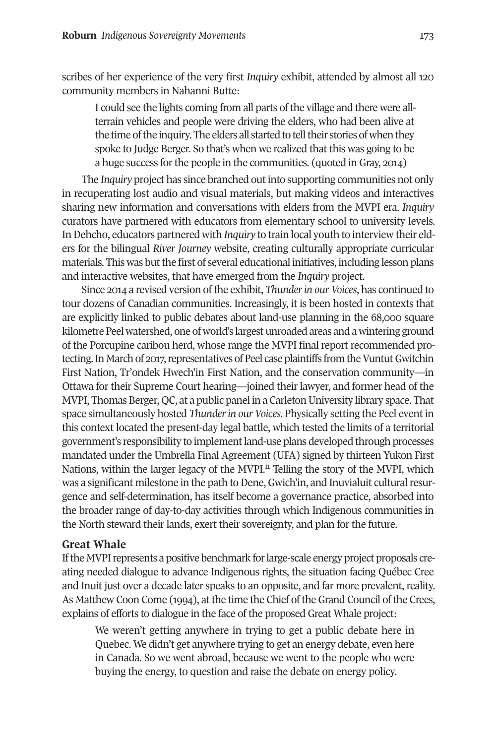scribes of her experience of the very first *Inquiry* exhibit, attended by almost all 120 community members in Nahanni Butte:

I could see the lights coming from all parts of the village and there were allterrain vehicles and people were driving the elders, who had been alive at the time of the inquiry. The elders all started to tell their stories of when they spoke to Judge Berger. So that's when we realized that this was going to be a huge success for the people in the communities. (quoted in Gray, 2014)

The *Inquiry* project has since branched out into supporting communities not only in recuperating lost audio and visual materials, but making videos and interactives sharing new information and conversations with elders from the MVPI era. *Inquiry* curators have partnered with educators from elementary school to university levels. InDehcho, educators partnered with *Inquiry* to train local youth to interview their elders for the bilingual *River Journey* website, creating culturally appropriate curricular materials. This was butthe first of several educational initiatives, including lesson plans and interactive websites, that have emerged from the *Inquiry* project.

Since 2014 a revised version of the exhibit, *Thunder in our Voices*, has continued to tour dozens of Canadian communities. Increasingly, it is been hosted in contexts that are explicitly linked to public debates about land-use planning in the 68,000 square kilometre Peel watershed, one of world's largest unroaded areas and a wintering ground of the Porcupine caribou herd, whose range the MVPI final report recommended protecting. In March of 2017, representatives of Peel case plaintiffs from the Vuntut Gwitchin First Nation, Tr'ondek Hwech'in First Nation, and the conservation community—in Ottawa for their Supreme Court hearing—joined their lawyer, and former head of the MVPI, Thomas Berger, QC, at a public panel in a Carleton University library space. That space simultaneously hosted *Thunderin our Voices*. Physically setting the Peel event in this context located the present-day legal battle, which tested the limits of a territorial government's responsibility to implementland-use plans developed through processes mandated under the Umbrella Final Agreement (UFA) signed by thirteen Yukon First Nations, within the larger legacy of the MVPI.<sup>11</sup> Telling the story of the MVPI, which was a significant milestone in the path to Dene, Gwich'in, and Inuvialuit cultural resurgence and self-determination, has itself become a governance practice, absorbed into the broader range of day-to-day activities through which Indigenous communities in the North steward their lands, exert their sovereignty, and plan for the future.

## **Great Whale**

If the MVPI represents a positive benchmark for large-scale energy project proposals creating needed dialogue to advance Indigenous rights, the situation facing Québec Cree and Inuit just over a decade later speaks to an opposite, and far more prevalent, reality. As Matthew Coon Come (1994), at the time the Chief of the Grand Council of the Crees, explains of efforts to dialogue in the face of the proposed Great Whale project:

We weren't getting anywhere in trying to get a public debate here in Quebec. We didn't get anywhere trying to get an energy debate, even here in Canada. So we went abroad, because we went to the people who were buying the energy, to question and raise the debate on energy policy.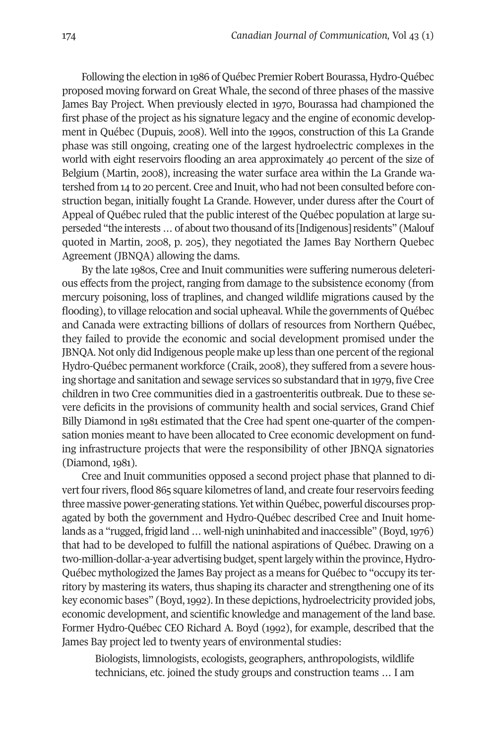Following the election in 1986 of Québec Premier Robert Bourassa, Hydro-Québec proposed moving forward on Great Whale, the second of three phases of the massive James Bay Project. When previously elected in 1970, Bourassa had championed the first phase of the project as his signature legacy and the engine of economic development in Québec (Dupuis, 2008). Well into the 1990s, construction of this La Grande phase was still ongoing, creating one of the largest hydroelectric complexes in the world with eight reservoirs flooding an area approximately 40 percent of the size of Belgium (Martin, 2008), increasing the water surface area within the La Grande watershed from 14 to 20 percent. Cree and Inuit, who had not been consulted before construction began, initially fought La Grande. However, under duress after the Court of Appeal of Québec ruled that the public interest of the Québec population at large superseded "the interests ... of about two thousand of its [Indigenous] residents" (Malouf quoted in Martin, 2008, p. 205), they negotiated the James Bay Northern Quebec Agreement (JBNQA) allowing the dams.

By the late 1980s, Cree and Inuit communities were suffering numerous deleterious effects from the project, ranging from damage to the subsistence economy (from mercury poisoning, loss of traplines, and changed wildlife migrations caused by the flooding), to village relocation and social upheaval. While the governments of Québec and Canada were extracting billions of dollars of resources from Northern Québec, they failed to provide the economic and social development promised under the JBNQA. Not only did Indigenous people make up less than one percent ofthe regional Hydro-Québec permanent workforce (Craik, 2008), they suffered from a severe housing shortage and sanitation and sewage services so substandard that in 1979, five Cree children in two Cree communities died in a gastroenteritis outbreak. Due to these severe deficits in the provisions of community health and social services, Grand Chief Billy Diamond in 1981 estimated that the Cree had spent one-quarter of the compensation monies meant to have been allocated to Cree economic development on funding infrastructure projects that were the responsibility of other JBNQA signatories (Diamond, 1981).

Cree and Inuit communities opposed a second project phase that planned to divert four rivers, flood 865 square kilometres of land, and create four reservoirs feeding three massive power-generating stations.Yet within Québec, powerful discourses propagated by both the government and Hydro-Québec described Cree and Inuit homelands as a "rugged, frigid land ... well-nigh uninhabited and inaccessible" (Boyd, 1976) that had to be developed to fulfill the national aspirations of Québec. Drawing on a two-million-dollar-a-year advertising budget, spentlargely within the province, Hydro-Québec mythologized the James Bay project as a means for Québec to "occupy its territory by mastering its waters, thus shaping its character and strengthening one of its key economic bases" (Boyd,1992). In these depictions, hydroelectricity provided jobs, economic development, and scientific knowledge and management of the land base. Former Hydro-Québec CEO Richard A. Boyd (1992), for example, described that the James Bay project led to twenty years of environmental studies:

Biologists, limnologists, ecologists, geographers, anthropologists, wildlife technicians, etc. joined the study groups and construction teams … I am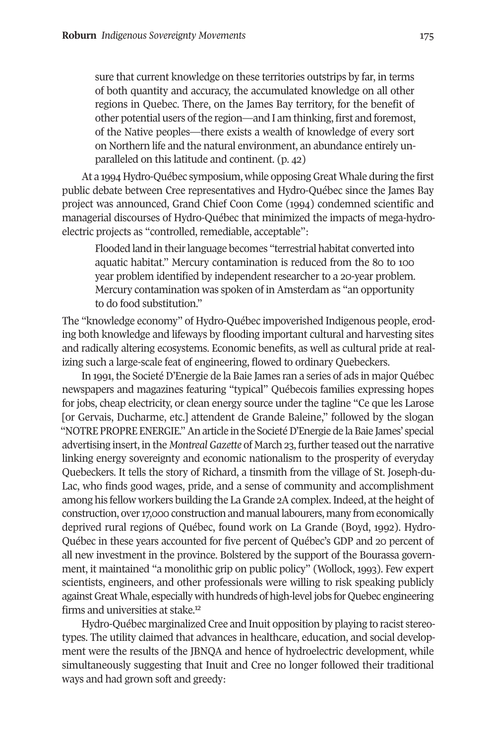sure that current knowledge on these territories outstrips by far, in terms of both quantity and accuracy, the accumulated knowledge on all other regions in Quebec. There, on the James Bay territory, for the benefit of other potential users of the region—and I am thinking, first and foremost, of the Native peoples—there exists a wealth of knowledge of every sort on Northern life and the natural environment, an abundance entirely unparalleled on this latitude and continent. (p. 42)

At a 1994 Hydro-Québec symposium, while opposing Great Whale during the first public debate between Cree representatives and Hydro-Québec since the James Bay project was announced, Grand Chief Coon Come (1994) condemned scientific and managerial discourses of Hydro-Québec that minimized the impacts of mega-hydroelectric projects as "controlled, remediable, acceptable":

Flooded land in their language becomes "terrestrial habitat converted into aquatic habitat." Mercury contamination is reduced from the 80 to 100 year problem identified by independent researcher to a 20-year problem. Mercury contamination was spoken of in Amsterdam as "an opportunity to do food substitution."

The "knowledge economy" of Hydro-Québec impoverished Indigenous people, eroding both knowledge and lifeways by flooding important cultural and harvesting sites and radically altering ecosystems. Economic benefits, as well as cultural pride at realizing such a large-scale feat of engineering, flowed to ordinary Quebeckers.

In 1991, the Societé D'Energie de la Baie James ran a series of ads in major Québec newspapers and magazines featuring "typical" Québecois families expressing hopes for jobs, cheap electricity, or clean energy source under the tagline "Ce que les Larose [or Gervais, Ducharme, etc.] attendent de Grande Baleine," followed by the slogan "NOTRE PROPRE ENERGIE." An article in the Societé D'Energie de la Baie James' special advertising insert, in the *Montreal Gazette* of March 23, furtherteased outthe narrative linking energy sovereignty and economic nationalism to the prosperity of everyday Quebeckers. It tells the story of Richard, a tinsmith from the village of St. Joseph-du-Lac, who finds good wages, pride, and a sense of community and accomplishment among his fellow workers building the La Grande 2A complex. Indeed, at the height of construction, over17,000 construction and manual labourers, many from economically deprived rural regions of Québec, found work on La Grande (Boyd, 1992). Hydro-Québec in these years accounted for five percent of Québec's GDP and 20 percent of all new investment in the province. Bolstered by the support of the Bourassa government, it maintained "a monolithic grip on public policy" (Wollock, 1993). Few expert scientists, engineers, and other professionals were willing to risk speaking publicly againstGreatWhale, especially with hundreds of high-level jobs for Quebec engineering firms and universities at stake.<sup>12</sup>

Hydro-Québec marginalized Cree and Inuit opposition by playing to racist stereotypes. The utility claimed that advances in healthcare, education, and social development were the results of the JBNQA and hence of hydroelectric development, while simultaneously suggesting that Inuit and Cree no longer followed their traditional ways and had grown soft and greedy: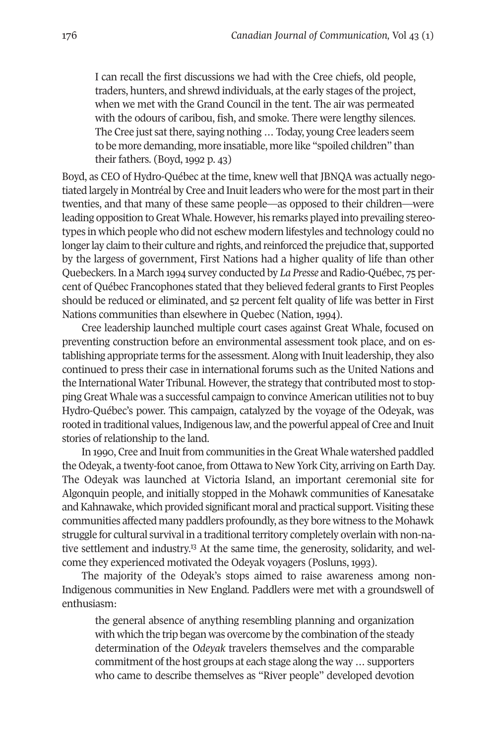I can recall the first discussions we had with the Cree chiefs, old people, traders, hunters, and shrewd individuals, at the early stages of the project, when we met with the Grand Council in the tent. The air was permeated with the odours of caribou, fish, and smoke. There were lengthy silences. The Cree just sat there, saying nothing ... Today, young Cree leaders seem to be more demanding, more insatiable, more like "spoiled children" than their fathers. (Boyd, 1992 p. 43)

Boyd, as CEO of Hydro-Québec at the time, knew well that JBNQA was actually negotiated largely in Montréal by Cree and Inuitleaders who were forthe most partin their twenties, and that many of these same people—as opposed to their children—were leading opposition toGreat Whale. However, his remarks played into prevailing stereotypes in which people who did not eschew modern lifestyles and technology could no longer lay claim to their culture and rights, and reinforced the prejudice that, supported by the largess of government, First Nations had a higher quality of life than other Quebeckers.In a March 1994 survey conducted by *La Presse* and Radio-Québec, 75 percent of Québec Francophones stated that they believed federal grants to First Peoples should be reduced or eliminated, and 52 percent felt quality of life was better in First Nations communities than elsewhere in Quebec (Nation, 1994).

Cree leadership launched multiple court cases against Great Whale, focused on preventing construction before an environmental assessment took place, and on establishing appropriate terms for the assessment. Along with Inuit leadership, they also continued to press their case in international forums such as the United Nations and the International Water Tribunal. However, the strategy that contributed most to stopping Great Whale was a successful campaign to convince American utilities not to buy Hydro-Québec's power. This campaign, catalyzed by the voyage of the Odeyak, was rooted in traditional values, Indigenous law, and the powerful appeal of Cree and Inuit stories of relationship to the land.

In 1990, Cree and Inuit from communities in the Great Whale watershed paddled the Odeyak, a twenty-foot canoe, from Ottawa to New York City, arriving on Earth Day. The Odeyak was launched at Victoria Island, an important ceremonial site for Algonquin people, and initially stopped in the Mohawk communities of Kanesatake and Kahnawake, which provided significant moral and practical support. Visiting these communities affected many paddlers profoundly, as they bore witness to the Mohawk struggle for cultural survival in a traditional territory completely overlain with non-native settlement and industry.<sup>13</sup> At the same time, the generosity, solidarity, and welcome they experienced motivated the Odeyak voyagers (Posluns, 1993).

The majority of the Odeyak's stops aimed to raise awareness among non-Indigenous communities in New England. Paddlers were met with a groundswell of enthusiasm:

the general absence of anything resembling planning and organization with which the trip began was overcome by the combination of the steady determination of the *Odeyak* travelers themselves and the comparable commitment of the host groups at each stage along the way ... supporters who came to describe themselves as "River people" developed devotion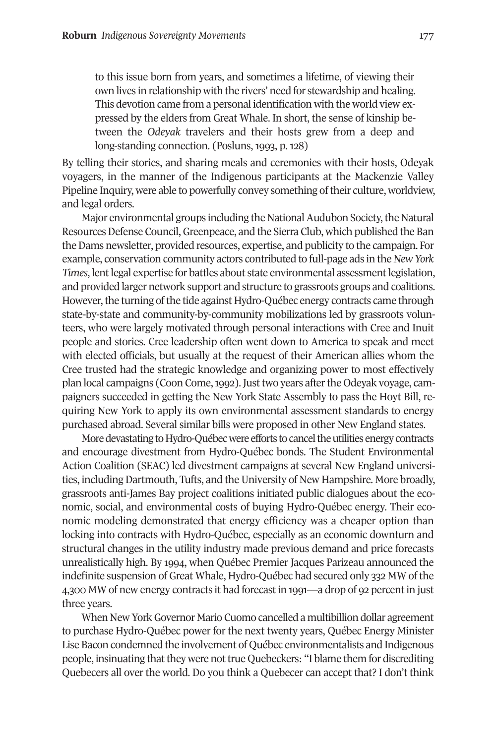to this issue born from years, and sometimes a lifetime, of viewing their own lives in relationship with the rivers' need for stewardship and healing. This devotion came from a personal identification with the world view expressed by the elders from Great Whale. In short, the sense of kinship between the *Odeyak* travelers and their hosts grew from a deep and long-standing connection. (Posluns, 1993, p. 128)

By telling their stories, and sharing meals and ceremonies with their hosts, Odeyak voyagers, in the manner of the Indigenous participants at the Mackenzie Valley Pipeline Inquiry, were able to powerfully convey something of their culture, worldview, and legal orders.

Major environmental groups including the National Audubon Society, the Natural ResourcesDefense Council,Greenpeace, and the Sierra Club, which published the Ban the Dams newsletter, provided resources, expertise, and publicity to the campaign. For example, conservation community actors contributed to full-page ads in the*New York Times*, lent legal expertise for battles about state environmental assessment legislation, and provided larger network support and structure to grassroots groups and coalitions. However, the turning of the tide against Hydro-Québec energy contracts came through state-by-state and community-by-community mobilizations led by grassroots volunteers, who were largely motivated through personal interactions with Cree and Inuit people and stories. Cree leadership often went down to America to speak and meet with elected officials, but usually at the request of their American allies whom the Cree trusted had the strategic knowledge and organizing power to most effectively plan local campaigns (Coon Come, 1992). Just two years after the Odeyak voyage, campaigners succeeded in getting the New York State Assembly to pass the Hoyt Bill, requiring New York to apply its own environmental assessment standards to energy purchased abroad. Several similar bills were proposed in other New England states.

More devastating to Hydro-Québec were efforts to cancel the utilities energy contracts and encourage divestment from Hydro-Québec bonds. The Student Environmental Action Coalition (SEAC) led divestment campaigns at several New England universities, including Dartmouth, Tufts, and the University of New Hampshire. More broadly, grassroots anti-James Bay project coalitions initiated public dialogues about the economic, social, and environmental costs of buying Hydro-Québec energy. Their economic modeling demonstrated that energy efficiency was a cheaper option than locking into contracts with Hydro-Québec, especially as an economic downturn and structural changes in the utility industry made previous demand and price forecasts unrealistically high. By 1994, when Québec Premier Jacques Parizeau announced the indefinite suspension of Great Whale, Hydro-Québec had secured only 332 MW of the 4,300 MW of new energy contracts it had forecastin 1991—a drop of 92 percentin just three years.

When New YorkGovernor Mario Cuomo cancelled a multibillion dollar agreement to purchase Hydro-Québec power for the next twenty years, Québec Energy Minister Lise Bacon condemned the involvement of Québec environmentalists and Indigenous people, insinuating that they were not true Quebeckers: "I blame them for discrediting Quebecers all over the world. Do you think a Quebecer can accept that? I don't think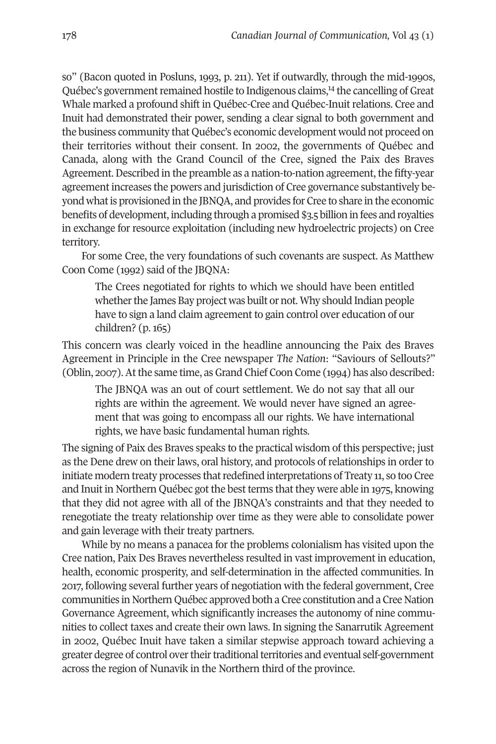so" (Bacon quoted in Posluns, 1993, p. 211). Yet if outwardly, through the mid-1990s, Québec's government remained hostile to Indigenous claims,<sup>14</sup> the cancelling of Great Whale marked a profound shift in Québec-Cree and Québec-Inuit relations. Cree and Inuit had demonstrated their power, sending a clear signal to both government and the business community that Québec's economic development would not proceed on their territories without their consent. In 2002, the governments of Québec and Canada, along with the Grand Council of the Cree, signed the Paix des Braves Agreement. Described in the preamble as a nation-to-nation agreement, the fifty-year agreement increases the powers and jurisdiction of Cree governance substantively beyond whatis provisioned in the JBNQA, and provides for Cree to share in the economic benefits of development, including through a promised \$3.5 billion in fees and royalties in exchange for resource exploitation (including new hydroelectric projects) on Cree territory.

For some Cree, the very foundations of such covenants are suspect. As Matthew Coon Come (1992) said of the JBQNA:

The Crees negotiated for rights to which we should have been entitled whether the James Bay project was built or not. Why should Indian people have to sign a land claim agreement to gain control over education of our children? (p. 165)

This concern was clearly voiced in the headline announcing the Paix des Braves Agreement in Principle in the Cree newspaper *The Nation*: "Saviours of Sellouts?" (Oblin, 2007). At the same time, as Grand Chief Coon Come (1994) has also described:

The JBNQA was an out of court settlement. We do not say that all our rights are within the agreement. We would never have signed an agreement that was going to encompass all our rights. We have international rights, we have basic fundamental human rights.

The signing of Paix des Braves speaks to the practical wisdom of this perspective; just as the Dene drew on their laws, oral history, and protocols of relationships in order to initiate modern treaty processes that redefined interpretations of Treaty 11, so too Cree and Inuit in Northern Québec got the best terms that they were able in 1975, knowing that they did not agree with all of the JBNQA's constraints and that they needed to renegotiate the treaty relationship over time as they were able to consolidate power and gain leverage with their treaty partners.

While by no means a panacea for the problems colonialism has visited upon the Cree nation, Paix Des Braves nevertheless resulted in vast improvement in education, health, economic prosperity, and self-determination in the affected communities. In 2017, following several further years of negotiation with the federal government, Cree communities in Northern Québec approved both a Cree constitution and a Cree Nation Governance Agreement, which significantly increases the autonomy of nine communities to collect taxes and create their own laws. In signing the Sanarrutik Agreement in 2002, Québec Inuit have taken a similar stepwise approach toward achieving a greater degree of control overtheirtraditionalterritories and eventual self-government across the region of Nunavik in the Northern third of the province.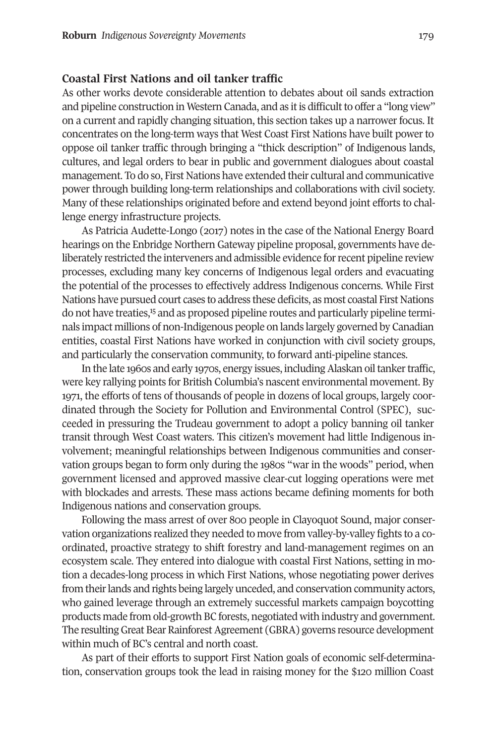### **Coastal First Nations and oil tanker traffic**

As other works devote considerable attention to debates about oil sands extraction and pipeline construction in Western Canada, and as it is difficult to offer a "long view" on a current and rapidly changing situation, this section takes up a narrower focus. It concentrates on the long-term ways that West Coast First Nations have built power to oppose oil tanker traffic through bringing a "thick description" of Indigenous lands, cultures, and legal orders to bear in public and government dialogues about coastal management. To do so, First Nations have extended their cultural and communicative power through building long-term relationships and collaborations with civil society. Many of these relationships originated before and extend beyond joint efforts to challenge energy infrastructure projects.

As Patricia Audette-Longo (2017) notes in the case of the National Energy Board hearings on the Enbridge Northern Gateway pipeline proposal, governments have deliberately restricted the interveners and admissible evidence forrecent pipeline review processes, excluding many key concerns of Indigenous legal orders and evacuating the potential of the processes to effectively address Indigenous concerns. While First Nations have pursued court cases to address these deficits, as most coastal First Nations do not have treaties, <sup>15</sup> and as proposed pipeline routes and particularly pipeline terminals impact millions of non-Indigenous people on lands largely governed by Canadian entities, coastal First Nations have worked in conjunction with civil society groups, and particularly the conservation community, to forward anti-pipeline stances.

In the late 1960s and early 1970s, energy issues, including Alaskan oil tanker traffic, were key rallying points for British Columbia's nascent environmental movement. By 1971, the efforts of tens of thousands of people in dozens of local groups, largely coordinated through the Society for Pollution and Environmental Control (SPEC), succeeded in pressuring the Trudeau government to adopt a policy banning oil tanker transit through West Coast waters. This citizen's movement had little Indigenous involvement; meaningful relationships between Indigenous communities and conservation groups began to form only during the 1980s "war in the woods" period, when government licensed and approved massive clear-cut logging operations were met with blockades and arrests. These mass actions became defining moments for both Indigenous nations and conservation groups.

Following the mass arrest of over 800 people in Clayoquot Sound, major conservation organizations realized they needed to move from valley-by-valley fights to a coordinated, proactive strategy to shift forestry and land-management regimes on an ecosystem scale. They entered into dialogue with coastal First Nations, setting in motion a decades-long process in which First Nations, whose negotiating power derives from theirlands and rights being largely unceded, and conservation community actors, who gained leverage through an extremely successful markets campaign boycotting products made from old-growth BC forests, negotiated with industry and government. The resulting Great Bear Rainforest Agreement (GBRA) governs resource development within much of BC's central and north coast.

As part of their efforts to support First Nation goals of economic self-determination, conservation groups took the lead in raising money for the \$120 million Coast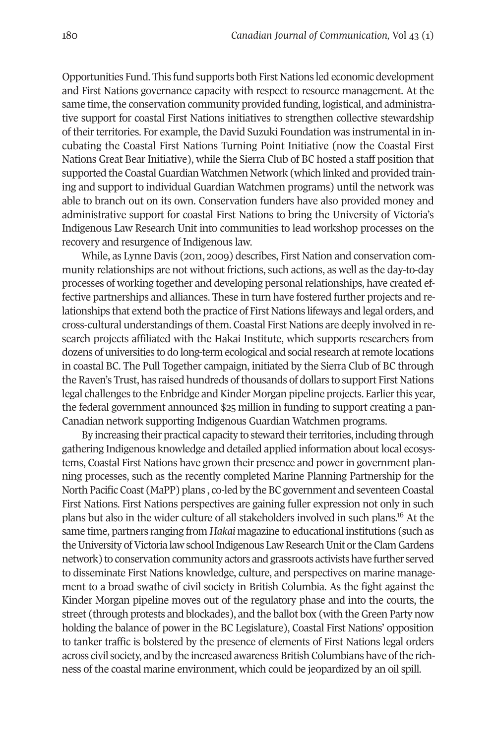Opportunities Fund. This fund supports both First Nations led economic development and First Nations governance capacity with respect to resource management. At the same time, the conservation community provided funding, logistical, and administrative support for coastal First Nations initiatives to strengthen collective stewardship of their territories. For example, the David Suzuki Foundation was instrumental in incubating the Coastal First Nations Turning Point Initiative (now the Coastal First Nations Great Bear Initiative), while the Sierra Club of BC hosted a staff position that supported the Coastal Guardian Watchmen Network (which linked and provided training and support to individual Guardian Watchmen programs) until the network was able to branch out on its own. Conservation funders have also provided money and administrative support for coastal First Nations to bring the University of Victoria's Indigenous Law Research Unit into communities to lead workshop processes on the recovery and resurgence of Indigenous law.

While, as Lynne Davis (2011, 2009) describes, First Nation and conservation community relationships are not without frictions, such actions, as well as the day-to-day processes of working together and developing personal relationships, have created effective partnerships and alliances. These in turn have fostered further projects and relationships that extend both the practice of First Nations lifeways and legal orders, and cross-cultural understandings of them. Coastal First Nations are deeply involved in research projects affiliated with the Hakai Institute, which supports researchers from dozens of universities to do long-term ecological and social research at remote locations in coastal BC. The Pull Together campaign, initiated by the Sierra Club of BC through the Raven's Trust, has raised hundreds of thousands of dollars to support First Nations legal challenges to the Enbridge and Kinder Morgan pipeline projects. Earlier this year, the federal government announced \$25 million in funding to support creating a pan-Canadian network supporting Indigenous Guardian Watchmen programs.

By increasing their practical capacity to steward their territories, including through gathering Indigenous knowledge and detailed applied information about local ecosystems, Coastal First Nations have grown their presence and power in government planning processes, such as the recently completed Marine Planning Partnership for the North Pacific Coast (MaPP) plans, co-led by the BC government and seventeen Coastal First Nations. First Nations perspectives are gaining fuller expression not only in such plans but also in the wider culture of all stakeholders involved in such plans. <sup>16</sup> At the same time, partners ranging from *Hakai* magazine to educational institutions (such as the University of Victoria law school Indigenous Law Research Unit or the Clam Gardens network) to conservation community actors and grassroots activists have further served to disseminate First Nations knowledge, culture, and perspectives on marine management to a broad swathe of civil society in British Columbia. As the fight against the Kinder Morgan pipeline moves out of the regulatory phase and into the courts, the street (through protests and blockades), and the ballot box (with the Green Party now holding the balance of power in the BC Legislature), Coastal First Nations' opposition to tanker traffic is bolstered by the presence of elements of First Nations legal orders across civil society, and by the increased awareness British Columbians have of the richness of the coastal marine environment, which could be jeopardized by an oil spill.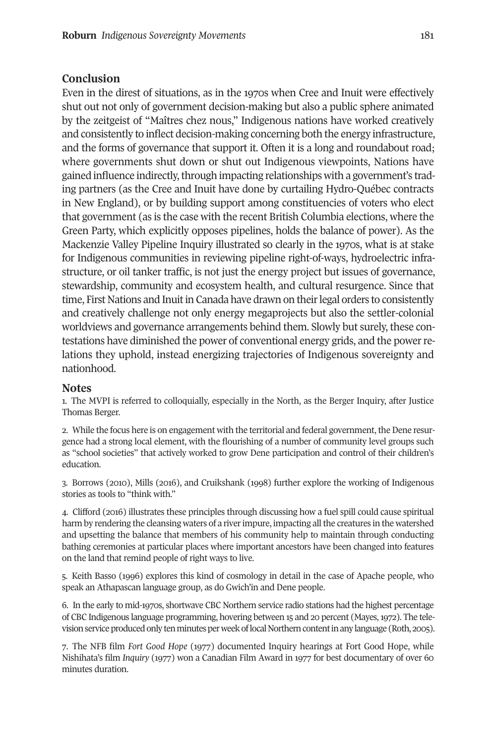## **Conclusion**

Even in the direst of situations, as in the 1970s when Cree and Inuit were effectively shut out not only of government decision-making but also a public sphere animated by the zeitgeist of "Maîtres chez nous," Indigenous nations have worked creatively and consistently to inflect decision-making concerning both the energy infrastructure, and the forms of governance that support it. Often it is a long and roundabout road; where governments shut down or shut out Indigenous viewpoints, Nations have gained influence indirectly, through impacting relationships with a government's trading partners (as the Cree and Inuit have done by curtailing Hydro-Québec contracts in New England), or by building support among constituencies of voters who elect that government (as is the case with the recent British Columbia elections, where the Green Party, which explicitly opposes pipelines, holds the balance of power). As the Mackenzie Valley Pipeline Inquiry illustrated so clearly in the 1970s, what is at stake for Indigenous communities in reviewing pipeline right-of-ways, hydroelectric infrastructure, or oil tanker traffic, is not just the energy project but issues of governance, stewardship, community and ecosystem health, and cultural resurgence. Since that time, First Nations and Inuit in Canada have drawn on their legal orders to consistently and creatively challenge not only energy megaprojects but also the settler-colonial worldviews and governance arrangements behind them. Slowly but surely, these contestations have diminished the power of conventional energy grids, and the powerrelations they uphold, instead energizing trajectories of Indigenous sovereignty and nationhood.

#### <span id="page-14-0"></span>**Notes**

1. The MVPI is referred to colloquially, especially in the North, as the Berger Inquiry, after Justice Thomas Berger.

2. While the focus here is on engagement with the territorial and federal government, the Dene resurgence had a strong local element, with the flourishing of a number of community level groups such as "school societies" that actively worked to grow Dene participation and control of their children's education.

3. Borrows (2010), Mills (2016), and Cruikshank (1998) further explore the working of Indigenous stories as tools to "think with."

4. Clifford (2016) illustrates these principles through discussing how a fuel spill could cause spiritual harm by rendering the cleansing waters of a river impure, impacting all the creatures in the watershed and upsetting the balance that members of his community help to maintain through conducting bathing ceremonies at particular places where important ancestors have been changed into features on the land that remind people of right ways to live.

<span id="page-14-1"></span>5. Keith Basso (1996) explores this kind of cosmology in detail in the case of Apache people, who speak an Athapascan language group, as do Gwich'in and Dene people.

6. In the early to mid-1970s, shortwave CBC Northern service radio stations had the highest percentage of CBC Indigenous language programming, hovering between 15 and 20 percent (Mayes,1972). The television service produced only ten minutes per week of local Northern content in any language (Roth, 2005).

<span id="page-14-2"></span>7. The NFB film *Fort Good Hope* (1977) documented Inquiry hearings at Fort Good Hope, while Nishihata's film *Inquiry* (1977) won a Canadian Film Award in 1977 for best documentary of over 60 minutes duration.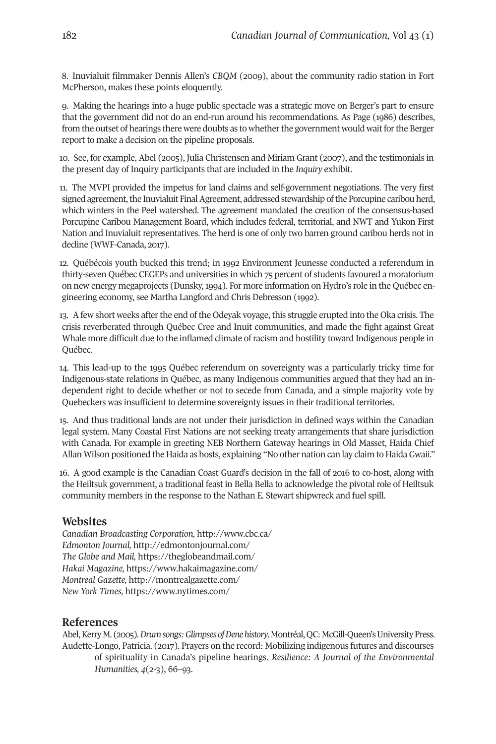8. Inuvialuit filmmaker Dennis Allen's *CBQM* (2009), about the community radio station in Fort McPherson, makes these points eloquently.

9. Making the hearings into a huge public spectacle was a strategic move on Berger's part to ensure that the government did not do an end-run around his recommendations. As Page (1986) describes, from the outset of hearings there were doubts as to whether the government would wait for the Berger report to make a decision on the pipeline proposals.

10. See, for example, Abel (2005), Julia Christensen and Miriam Grant (2007), and the testimonials in the present day of Inquiry participants that are included in the *Inquiry* exhibit.

11. The MVPI provided the impetus for land claims and self-government negotiations. The very first signed agreement, the Inuvialuit Final Agreement, addressed stewardship of the Porcupine caribou herd, which winters in the Peel watershed. The agreement mandated the creation of the consensus-based Porcupine Caribou Management Board, which includes federal, territorial, and NWT and Yukon First Nation and Inuvialuit representatives. The herd is one of only two barren ground caribou herds not in decline (WWF-Canada, 2017).

12. Québécois youth bucked this trend; in 1992 Environment Jeunesse conducted a referendum in thirty-seven Québec CEGEPs and universities in which 75 percent of students favoured a moratorium on new energy megaprojects (Dunsky,1994). For more information on Hydro's role in the Québec engineering economy, see Martha Langford and Chris Debresson (1992).

13. A few short weeks after the end of the Odeyak voyage, this struggle erupted into the Oka crisis. The crisis reverberated through Québec Cree and Inuit communities, and made the fight against Great Whale more difficult due to the inflamed climate ofracism and hostility toward Indigenous people in Québec.

14. This lead-up to the 1995 Québec referendum on sovereignty was a particularly tricky time for Indigenous-state relations in Québec, as many Indigenous communities argued that they had an independent right to decide whether or not to secede from Canada, and a simple majority vote by Quebeckers was insufficient to determine sovereignty issues in their traditional territories.

15. And thus traditional lands are not under their jurisdiction in defined ways within the Canadian legal system. Many Coastal First Nations are not seeking treaty arrangements that share jurisdiction with Canada. For example in greeting NEB Northern Gateway hearings in Old Masset, Haida Chief Allan Wilson positioned the Haida as hosts, explaining "No other nation can lay claim to HaidaGwaii."

16. A good example is the Canadian Coast Guard's decision in the fall of 2016 to co-host, along with the Heiltsuk government, a traditional feast in Bella Bella to acknowledge the pivotal role of Heiltsuk community members in the response to the Nathan E. Stewart shipwreck and fuel spill.

### **Websites**

*Canadian Broadcasting Corporation,* <http://www.cbc.ca/> *Edmonton Journal,* <http://edmontonjournal.com/> *The Globe and Mail,* <https://theglobeandmail.com/> *Hakai Magazine,* [https://www.hakaimagazine.com/](https://www.hakaimagazine.com) *Montreal Gazette,* <http://montrealgazette.com/> *New York Times,* <https://www.nytimes.com/>

## **References**

Abel,KerryM. (2005).*Drumsongs:GlimpsesofDenehistory*.Montréal,QC:McGill-Queen'sUniversityPress. Audette-Longo, Patricia. (2017). Prayers on the record: Mobilizing indigenous futures and discourses of spirituality in Canada's pipeline hearings. *Resilience: A Journal of the Environmental Humanities, 4*(2-3), 66–93.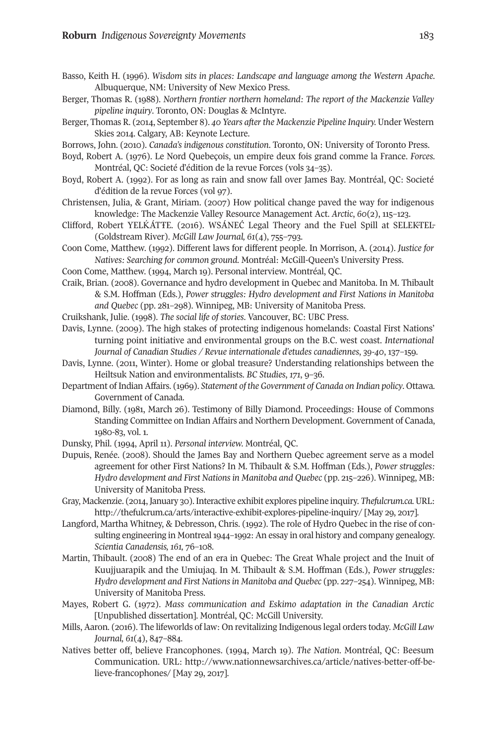- Basso, Keith H. (1996). *Wisdom sits in places: Landscape and language among the Western Apache*. Albuquerque, NM: University of New Mexico Press.
- Berger, Thomas R. (1988). *Northern frontier northern homeland: The report of the Mackenzie Valley pipeline inquiry*. Toronto, ON: Douglas & McIntyre.
- Berger, Thomas R. (2014, September 8). *40 Years afterthe Mackenzie Pipeline Inquiry.* Under Western Skies 2014. Calgary, AB: Keynote Lecture.
- Borrows, John. (2010). *Canada's indigenous constitution*. Toronto, ON: University of Toronto Press.
- Boyd, Robert A. (1976). Le Nord Quebeçois, un empire deux fois grand comme la France. *Forces*. Montréal, QC: Societé d'édition de la revue Forces (vols 34–35).
- Boyd, Robert A. (1992). For as long as rain and snow fall over James Bay. Montréal, QC: Societé d'édition de la revue Forces (vol 97).
- Christensen, Julia, & Grant, Miriam. (2007) How political change paved the way for indigenous knowledge: The Mackenzie Valley Resource Management Act. *Arctic*, *60*(2), 115–123.
- Clifford, Robert YELKÁTTE. (2016). WSÁNEĆ Legal Theory and the Fuel Spill at SELEKTEL-(Goldstream River). *McGill Law Journal, 61*(4), 755–793.
- Coon Come, Matthew. (1992). Different laws for different people. In Morrison, A. (2014). *Justice for Natives: Searching for common ground*. Montréal: McGill-Queen's University Press.
- Coon Come, Matthew. (1994, March 19). Personal interview. Montréal, QC.
- Craik, Brian. (2008). Governance and hydro development in Quebec and Manitoba. In M. Thibault & S.M. Hoffman (Eds.), *Power struggles: Hydro development and First Nations in Manitoba and Quebec* (pp. 281–298). Winnipeg, MB: University of Manitoba Press.
- Cruikshank, Julie. (1998). *The social life of stories*. Vancouver, BC: UBC Press.
- Davis, Lynne. (2009). The high stakes of protecting indigenous homelands: Coastal First Nations' turning point initiative and environmental groups on the B.C. west coast. *International Journal of Canadian Studies / Revue internationale d'etudes canadiennes*, *39-40*, 137–159.
- Davis, Lynne. (2011, Winter). Home or global treasure? Understanding relationships between the Heiltsuk Nation and environmentalists. *BC Studies*, *171*, 9–36.
- Department of Indian Affairs. (1969). *Statement of the Government of Canada on Indian policy*. Ottawa. Government of Canada.
- Diamond, Billy. (1981, March 26). Testimony of Billy Diamond. Proceedings: House of Commons Standing Committee on Indian Affairs and Northern Development. Government of Canada, 1980-83, vol. 1.
- Dunsky, Phil. (1994, April 11). *Personal interview.* Montréal, QC.
- Dupuis, Renée. (2008). Should the James Bay and Northern Quebec agreement serve as a model agreement for other First Nations? In M. Thibault & S.M. Hoffman (Eds.), *Power struggles: Hydro development and First Nations in Manitoba and Quebec* (pp. 215–226). Winnipeg, MB: University of Manitoba Press.
- Gray, Mackenzie. (2014, January 30). Interactive exhibit explores pipeline inquiry. *Thefulcrum.ca.*URL: <http://thefulcrum.ca/arts/interactive-exhibit-explores-pipeline-inquiry/> [May 29, 2017].
- Langford, Martha Whitney, & Debresson, Chris. (1992). The role of Hydro Quebec in the rise of consulting engineering in Montreal 1944–1992: An essay in oral history and company genealogy. *Scientia Canadensis, 161,* 76–108.
- Martin, Thibault. (2008) The end of an era in Quebec: The Great Whale project and the Inuit of Kuujjuarapik and the Umiujaq. In M. Thibault & S.M. Hoffman (Eds.), *Power struggles: Hydro development and First Nationsin Manitoba and Quebec* (pp. 227–254). Winnipeg, MB: University of Manitoba Press.
- Mayes, Robert G. (1972). *Mass communication and Eskimo adaptation in the Canadian Arctic* [Unpublished dissertation]. Montréal, QC: McGill University.
- Mills, Aaron. (2016). The lifeworlds of law: On revitalizing Indigenous legal orders today. *McGill Law Journal, 61*(4), 847–884.
- Natives better off, believe Francophones. (1994, March 19). *The Nation*. Montréal, QC: Beesum Communication. URL: [http://www.nationnewsarchives.ca/article/natives-better-off-be](http://www.nationnewsarchives.ca/article/natives-better-off-believe-francophones)[lieve-francophones/](http://www.nationnewsarchives.ca/article/natives-better-off-believe-francophones) [May 29, 2017].